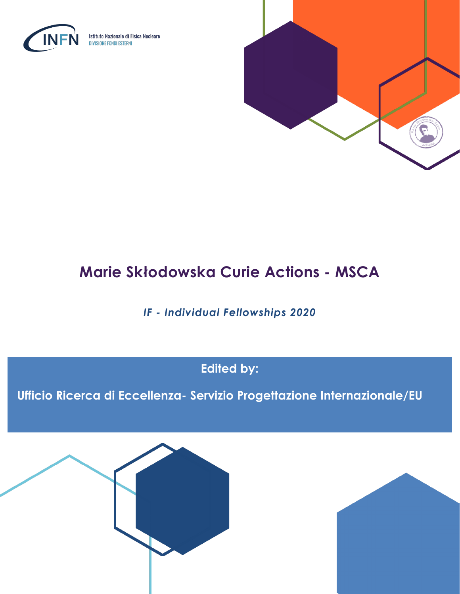

Istituto Nazionale di Fisica Nucleare **DIVISIONE FONDI ESTERNI** 



# **Marie Skłodowska Curie Actions - MSCA**

*IF - Individual Fellowships 2020*

**Edited by:**

**Ufficio Ricerca di Eccellenza- Servizio Progettazione Internazionale/EU**